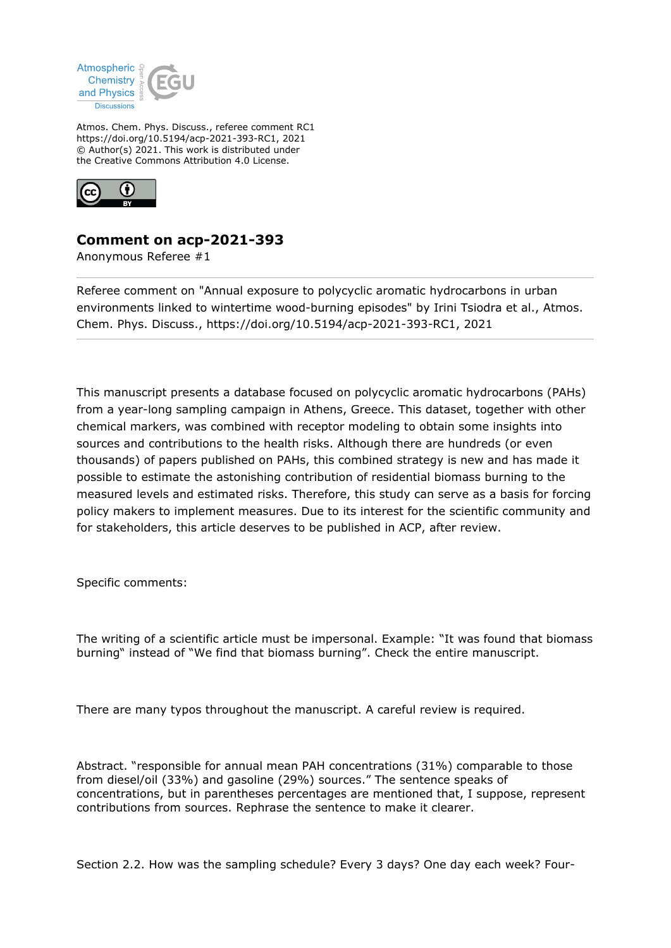

Atmos. Chem. Phys. Discuss., referee comment RC1 https://doi.org/10.5194/acp-2021-393-RC1, 2021 © Author(s) 2021. This work is distributed under the Creative Commons Attribution 4.0 License.



## **Comment on acp-2021-393**

Anonymous Referee #1

Referee comment on "Annual exposure to polycyclic aromatic hydrocarbons in urban environments linked to wintertime wood-burning episodes" by Irini Tsiodra et al., Atmos. Chem. Phys. Discuss., https://doi.org/10.5194/acp-2021-393-RC1, 2021

This manuscript presents a database focused on polycyclic aromatic hydrocarbons (PAHs) from a year-long sampling campaign in Athens, Greece. This dataset, together with other chemical markers, was combined with receptor modeling to obtain some insights into sources and contributions to the health risks. Although there are hundreds (or even thousands) of papers published on PAHs, this combined strategy is new and has made it possible to estimate the astonishing contribution of residential biomass burning to the measured levels and estimated risks. Therefore, this study can serve as a basis for forcing policy makers to implement measures. Due to its interest for the scientific community and for stakeholders, this article deserves to be published in ACP, after review.

Specific comments:

The writing of a scientific article must be impersonal. Example: "It was found that biomass burning" instead of "We find that biomass burning". Check the entire manuscript.

There are many typos throughout the manuscript. A careful review is required.

Abstract. "responsible for annual mean PAH concentrations (31%) comparable to those from diesel/oil (33%) and gasoline (29%) sources." The sentence speaks of concentrations, but in parentheses percentages are mentioned that, I suppose, represent contributions from sources. Rephrase the sentence to make it clearer.

Section 2.2. How was the sampling schedule? Every 3 days? One day each week? Four-